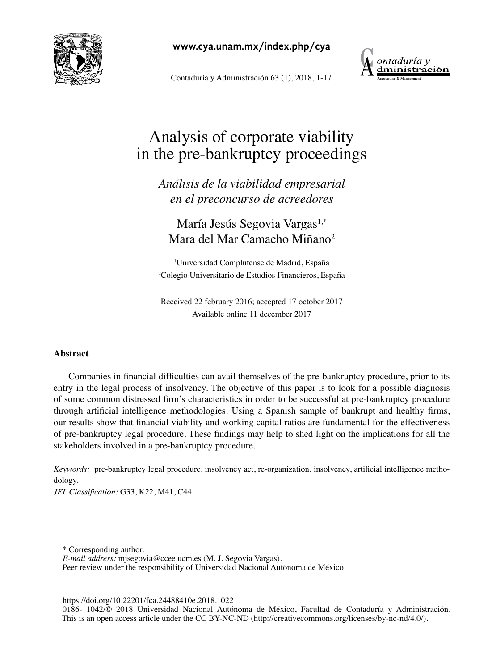

**www.cya.unam.mx/index.php/cya**

Contaduría y Administración 63 (1), 2018, 1-17



# Analysis of corporate viability in the pre-bankruptcy proceedings

*Análisis de la viabilidad empresarial en el preconcurso de acreedores*

María Jesús Segovia Vargas<sup>1,\*</sup> Mara del Mar Camacho Miñano<sup>2</sup>

1 Universidad Complutense de Madrid, España 2 Colegio Universitario de Estudios Financieros, España

Received 22 february 2016; accepted 17 october 2017 Available online 11 december 2017

## **Abstract**

Companies in financial difficulties can avail themselves of the pre-bankruptcy procedure, prior to its entry in the legal process of insolvency. The objective of this paper is to look for a possible diagnosis of some common distressed firm's characteristics in order to be successful at pre-bankruptcy procedure through artificial intelligence methodologies. Using a Spanish sample of bankrupt and healthy firms, our results show that financial viability and working capital ratios are fundamental for the effectiveness of pre-bankruptcy legal procedure. These findings may help to shed light on the implications for all the stakeholders involved in a pre-bankruptcy procedure.

*Keywords:* pre-bankruptcy legal procedure, insolvency act, re-organization, insolvency, artificial intelligence methodology.

*JEL Classification:* G33, K22, M41, C44

https://doi.org/10.22201/fca.24488410e.2018.1022

<sup>\*</sup> Corresponding author.

*E-mail address:* mjsegovia@ccee.ucm.es (M. J. Segovia Vargas).

Peer review under the responsibility of Universidad Nacional Autónoma de México.

<sup>0186- 1042/© 2018</sup> Universidad Nacional Autónoma de México, Facultad de Contaduría y Administración. This is an open access article under the CC BY-NC-ND (http://creativecommons.org/licenses/by-nc-nd/4.0/).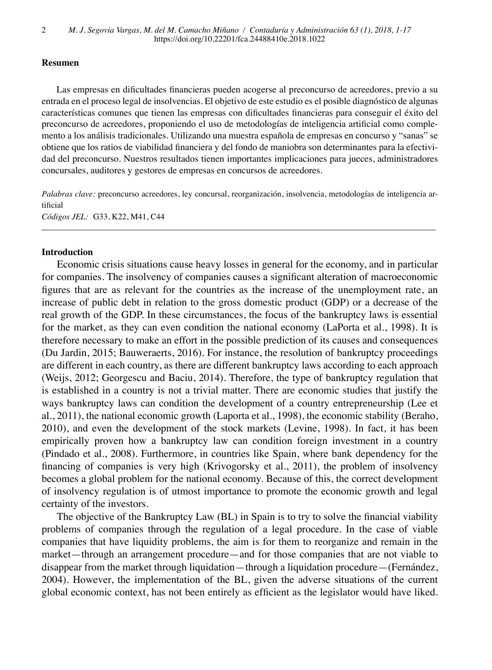#### **Resumen**

Las empresas en dificultades financieras pueden acogerse al preconcurso de acreedores, previo a su entrada en el proceso legal de insolvencias. El objetivo de este estudio es el posible diagnóstico de algunas características comunes que tienen las empresas con dificultades financieras para conseguir el éxito del preconcurso de acreedores, proponiendo el uso de metodologías de inteligencia artificial como complemento a los análisis tradicionales. Utilizando una muestra española de empresas en concurso y "sanas" se obtiene que los ratios de viabilidad financiera y del fondo de maniobra son determinantes para la efectividad del preconcurso. Nuestros resultados tienen importantes implicaciones para jueces, administradores concursales, auditores y gestores de empresas en concursos de acreedores.

*Palabras clave:* preconcurso acreedores, ley concursal, reorganización, insolvencia, metodologías de inteligencia artificial

*Códigos JEL:* G33, K22, M41, C44

#### **Introduction**

Economic crisis situations cause heavy losses in general for the economy, and in particular for companies. The insolvency of companies causes a significant alteration of macroeconomic figures that are as relevant for the countries as the increase of the unemployment rate, an increase of public debt in relation to the gross domestic product (GDP) or a decrease of the real growth of the GDP. In these circumstances, the focus of the bankruptcy laws is essential for the market, as they can even condition the national economy (LaPorta et al., 1998). It is therefore necessary to make an effort in the possible prediction of its causes and consequences (Du Jardin, 2015; Bauweraerts, 2016). For instance, the resolution of bankruptcy proceedings are different in each country, as there are different bankruptcy laws according to each approach (Weijs, 2012; Georgescu and Baciu, 2014). Therefore, the type of bankruptcy regulation that is established in a country is not a trivial matter. There are economic studies that justify the ways bankruptcy laws can condition the development of a country entrepreneurship (Lee et al., 2011), the national economic growth (Laporta et al., 1998), the economic stability (Beraho, 2010), and even the development of the stock markets (Levine, 1998). In fact, it has been empirically proven how a bankruptcy law can condition foreign investment in a country (Pindado et al., 2008). Furthermore, in countries like Spain, where bank dependency for the financing of companies is very high (Krivogorsky et al., 2011), the problem of insolvency becomes a global problem for the national economy. Because of this, the correct development of insolvency regulation is of utmost importance to promote the economic growth and legal certainty of the investors.

The objective of the Bankruptcy Law (BL) in Spain is to try to solve the financial viability problems of companies through the regulation of a legal procedure. In the case of viable companies that have liquidity problems, the aim is for them to reorganize and remain in the market—through an arrangement procedure—and for those companies that are not viable to disappear from the market through liquidation—through a liquidation procedure—(Fernández, 2004). However, the implementation of the BL, given the adverse situations of the current global economic context, has not been entirely as efficient as the legislator would have liked.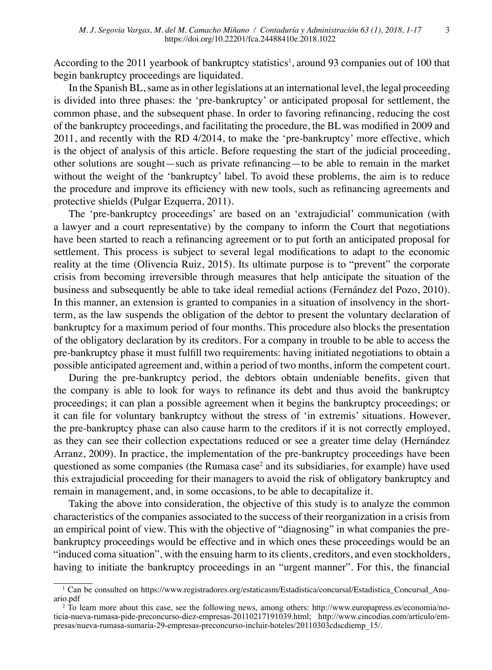According to the 2011 yearbook of bankruptcy statistics<sup>1</sup>, around 93 companies out of 100 that begin bankruptcy proceedings are liquidated.

In the Spanish BL, same as in other legislations at an international level, the legal proceeding is divided into three phases: the 'pre-bankruptcy' or anticipated proposal for settlement, the common phase, and the subsequent phase. In order to favoring refinancing, reducing the cost of the bankruptcy proceedings, and facilitating the procedure, the BL was modified in 2009 and 2011, and recently with the RD 4/2014, to make the 'pre-bankruptcy' more effective, which is the object of analysis of this article. Before requesting the start of the judicial proceeding, other solutions are sought—such as private refinancing—to be able to remain in the market without the weight of the 'bankruptcy' label. To avoid these problems, the aim is to reduce the procedure and improve its efficiency with new tools, such as refinancing agreements and protective shields (Pulgar Ezquerra, 2011).

The 'pre-bankruptcy proceedings' are based on an 'extrajudicial' communication (with a lawyer and a court representative) by the company to inform the Court that negotiations have been started to reach a refinancing agreement or to put forth an anticipated proposal for settlement. This process is subject to several legal modifications to adapt to the economic reality at the time (Olivencia Ruiz, 2015). Its ultimate purpose is to "prevent" the corporate crisis from becoming irreversible through measures that help anticipate the situation of the business and subsequently be able to take ideal remedial actions (Fernández del Pozo, 2010). In this manner, an extension is granted to companies in a situation of insolvency in the shortterm, as the law suspends the obligation of the debtor to present the voluntary declaration of bankruptcy for a maximum period of four months. This procedure also blocks the presentation of the obligatory declaration by its creditors. For a company in trouble to be able to access the pre-bankruptcy phase it must fulfill two requirements: having initiated negotiations to obtain a possible anticipated agreement and, within a period of two months, inform the competent court.

During the pre-bankruptcy period, the debtors obtain undeniable benefits, given that the company is able to look for ways to refinance its debt and thus avoid the bankruptcy proceedings; it can plan a possible agreement when it begins the bankruptcy proceedings; or it can file for voluntary bankruptcy without the stress of 'in extremis' situations. However, the pre-bankruptcy phase can also cause harm to the creditors if it is not correctly employed, as they can see their collection expectations reduced or see a greater time delay (Hernández Arranz, 2009). In practice, the implementation of the pre-bankruptcy proceedings have been questioned as some companies (the Rumasa case<sup>2</sup> and its subsidiaries, for example) have used this extrajudicial proceeding for their managers to avoid the risk of obligatory bankruptcy and remain in management, and, in some occasions, to be able to decapitalize it.

Taking the above into consideration, the objective of this study is to analyze the common characteristics of the companies associated to the success of their reorganization in a crisis from an empirical point of view. This with the objective of "diagnosing" in what companies the prebankruptcy proceedings would be effective and in which ones these proceedings would be an "induced coma situation", with the ensuing harm to its clients, creditors, and even stockholders, having to initiate the bankruptcy proceedings in an "urgent manner". For this, the financial

<sup>1</sup> Can be consulted on [https://www.registradores.org/estaticasm/Estadistica/concursal/Estadistica\\_Concursal\\_Anu](https://www.registradores.org/estaticasm/Estadistica/concursal/Estadistica_Concursal_Anuario.pdf)[ario.pdf](https://www.registradores.org/estaticasm/Estadistica/concursal/Estadistica_Concursal_Anuario.pdf)

<sup>2</sup> To learn more about this case, see the following news, among others: [http://www.europapress.es/economia/no](http://www.europapress.es/economia/noticia-nueva-rumasa-pide-preconcurso-diez-empresas-20110217191039.html)[ticia-nueva-rumasa-pide-preconcurso-diez-empresas-20110217191039.html;](http://www.europapress.es/economia/noticia-nueva-rumasa-pide-preconcurso-diez-empresas-20110217191039.html) [http://www.cincodias.com/articulo/em](http://www.cincodias.com/articulo/empresas/nueva-rumasa-sumaria-29-empresas-preconcurso-incluir-hoteles/20110303cdscdiemp_15/)[presas/nueva-rumasa-sumaria-29-empresas-preconcurso-incluir-hoteles/20110303cdscdiemp\\_15/](http://www.cincodias.com/articulo/empresas/nueva-rumasa-sumaria-29-empresas-preconcurso-incluir-hoteles/20110303cdscdiemp_15/).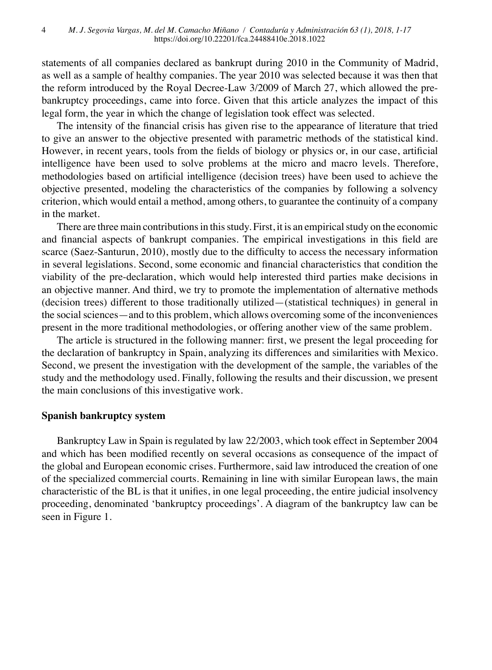statements of all companies declared as bankrupt during 2010 in the Community of Madrid, as well as a sample of healthy companies. The year 2010 was selected because it was then that the reform introduced by the Royal Decree-Law 3/2009 of March 27, which allowed the prebankruptcy proceedings, came into force. Given that this article analyzes the impact of this legal form, the year in which the change of legislation took effect was selected.

The intensity of the financial crisis has given rise to the appearance of literature that tried to give an answer to the objective presented with parametric methods of the statistical kind. However, in recent years, tools from the fields of biology or physics or, in our case, artificial intelligence have been used to solve problems at the micro and macro levels. Therefore, methodologies based on artificial intelligence (decision trees) have been used to achieve the objective presented, modeling the characteristics of the companies by following a solvency criterion, which would entail a method, among others, to guarantee the continuity of a company in the market.

There are three main contributions in this study. First, it is an empirical study on the economic and financial aspects of bankrupt companies. The empirical investigations in this field are scarce (Saez-Santurun, 2010), mostly due to the difficulty to access the necessary information in several legislations. Second, some economic and financial characteristics that condition the viability of the pre-declaration, which would help interested third parties make decisions in an objective manner. And third, we try to promote the implementation of alternative methods (decision trees) different to those traditionally utilized—(statistical techniques) in general in the social sciences—and to this problem, which allows overcoming some of the inconveniences present in the more traditional methodologies, or offering another view of the same problem.

The article is structured in the following manner: first, we present the legal proceeding for the declaration of bankruptcy in Spain, analyzing its differences and similarities with Mexico. Second, we present the investigation with the development of the sample, the variables of the study and the methodology used. Finally, following the results and their discussion, we present the main conclusions of this investigative work.

### **Spanish bankruptcy system**

Bankruptcy Law in Spain is regulated by law 22/2003, which took effect in September 2004 and which has been modified recently on several occasions as consequence of the impact of the global and European economic crises. Furthermore, said law introduced the creation of one of the specialized commercial courts. Remaining in line with similar European laws, the main characteristic of the BL is that it unifies, in one legal proceeding, the entire judicial insolvency proceeding, denominated 'bankruptcy proceedings'. A diagram of the bankruptcy law can be seen in Figure 1.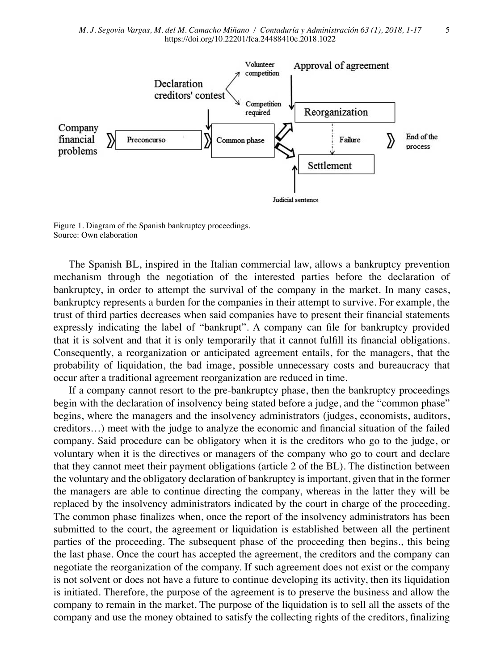

Figure 1. Diagram of the Spanish bankruptcy proceedings. Source: Own elaboration

The Spanish BL, inspired in the Italian commercial law, allows a bankruptcy prevention mechanism through the negotiation of the interested parties before the declaration of bankruptcy, in order to attempt the survival of the company in the market. In many cases, bankruptcy represents a burden for the companies in their attempt to survive. For example, the trust of third parties decreases when said companies have to present their financial statements expressly indicating the label of "bankrupt". A company can file for bankruptcy provided that it is solvent and that it is only temporarily that it cannot fulfill its financial obligations. Consequently, a reorganization or anticipated agreement entails, for the managers, that the probability of liquidation, the bad image, possible unnecessary costs and bureaucracy that occur after a traditional agreement reorganization are reduced in time.

If a company cannot resort to the pre-bankruptcy phase, then the bankruptcy proceedings begin with the declaration of insolvency being stated before a judge, and the "common phase" begins, where the managers and the insolvency administrators (judges, economists, auditors, creditors…) meet with the judge to analyze the economic and financial situation of the failed company. Said procedure can be obligatory when it is the creditors who go to the judge, or voluntary when it is the directives or managers of the company who go to court and declare that they cannot meet their payment obligations (article 2 of the BL). The distinction between the voluntary and the obligatory declaration of bankruptcy is important, given that in the former the managers are able to continue directing the company, whereas in the latter they will be replaced by the insolvency administrators indicated by the court in charge of the proceeding. The common phase finalizes when, once the report of the insolvency administrators has been submitted to the court, the agreement or liquidation is established between all the pertinent parties of the proceeding. The subsequent phase of the proceeding then begins., this being the last phase. Once the court has accepted the agreement, the creditors and the company can negotiate the reorganization of the company. If such agreement does not exist or the company is not solvent or does not have a future to continue developing its activity, then its liquidation is initiated. Therefore, the purpose of the agreement is to preserve the business and allow the company to remain in the market. The purpose of the liquidation is to sell all the assets of the company and use the money obtained to satisfy the collecting rights of the creditors, finalizing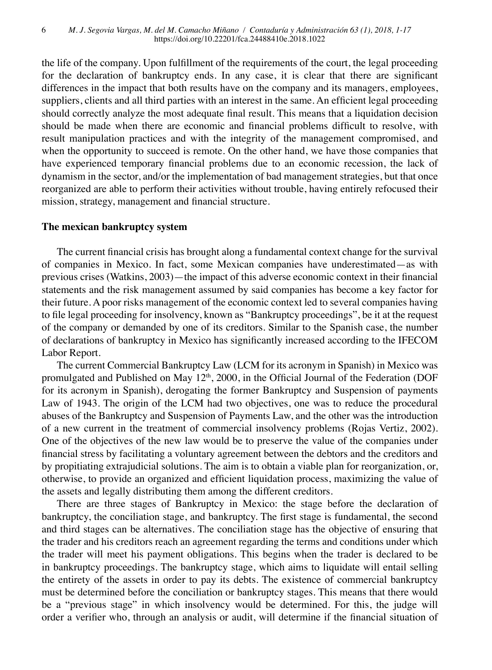the life of the company. Upon fulfillment of the requirements of the court, the legal proceeding for the declaration of bankruptcy ends. In any case, it is clear that there are significant differences in the impact that both results have on the company and its managers, employees, suppliers, clients and all third parties with an interest in the same. An efficient legal proceeding should correctly analyze the most adequate final result. This means that a liquidation decision should be made when there are economic and financial problems difficult to resolve, with result manipulation practices and with the integrity of the management compromised, and when the opportunity to succeed is remote. On the other hand, we have those companies that have experienced temporary financial problems due to an economic recession, the lack of dynamism in the sector, and/or the implementation of bad management strategies, but that once reorganized are able to perform their activities without trouble, having entirely refocused their mission, strategy, management and financial structure.

### **The mexican bankruptcy system**

The current financial crisis has brought along a fundamental context change for the survival of companies in Mexico. In fact, some Mexican companies have underestimated—as with previous crises (Watkins, 2003)—the impact of this adverse economic context in their financial statements and the risk management assumed by said companies has become a key factor for their future. A poor risks management of the economic context led to several companies having to file legal proceeding for insolvency, known as "Bankruptcy proceedings", be it at the request of the company or demanded by one of its creditors. Similar to the Spanish case, the number of declarations of bankruptcy in Mexico has significantly increased according to the IFECOM Labor Report.

The current Commercial Bankruptcy Law (LCM for its acronym in Spanish) in Mexico was promulgated and Published on May  $12<sup>th</sup>$ , 2000, in the Official Journal of the Federation (DOF for its acronym in Spanish), derogating the former Bankruptcy and Suspension of payments Law of 1943. The origin of the LCM had two objectives, one was to reduce the procedural abuses of the Bankruptcy and Suspension of Payments Law, and the other was the introduction of a new current in the treatment of commercial insolvency problems (Rojas Vertiz, 2002). One of the objectives of the new law would be to preserve the value of the companies under financial stress by facilitating a voluntary agreement between the debtors and the creditors and by propitiating extrajudicial solutions. The aim is to obtain a viable plan for reorganization, or, otherwise, to provide an organized and efficient liquidation process, maximizing the value of the assets and legally distributing them among the different creditors.

There are three stages of Bankruptcy in Mexico: the stage before the declaration of bankruptcy, the conciliation stage, and bankruptcy. The first stage is fundamental, the second and third stages can be alternatives. The conciliation stage has the objective of ensuring that the trader and his creditors reach an agreement regarding the terms and conditions under which the trader will meet his payment obligations. This begins when the trader is declared to be in bankruptcy proceedings. The bankruptcy stage, which aims to liquidate will entail selling the entirety of the assets in order to pay its debts. The existence of commercial bankruptcy must be determined before the conciliation or bankruptcy stages. This means that there would be a "previous stage" in which insolvency would be determined. For this, the judge will order a verifier who, through an analysis or audit, will determine if the financial situation of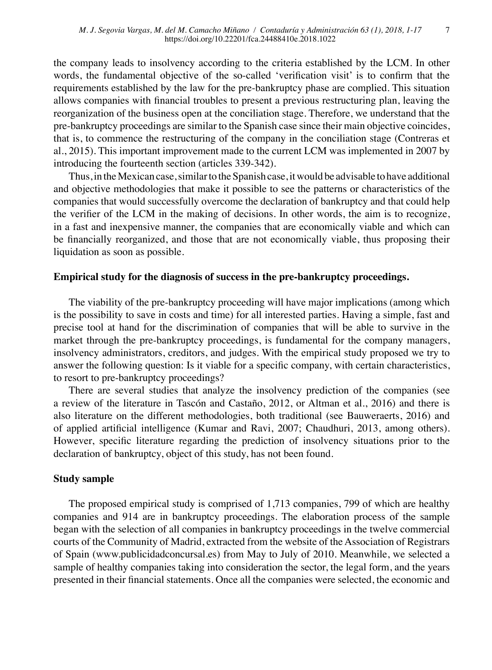the company leads to insolvency according to the criteria established by the LCM. In other words, the fundamental objective of the so-called 'verification visit' is to confirm that the requirements established by the law for the pre-bankruptcy phase are complied. This situation allows companies with financial troubles to present a previous restructuring plan, leaving the reorganization of the business open at the conciliation stage. Therefore, we understand that the pre-bankruptcy proceedings are similar to the Spanish case since their main objective coincides, that is, to commence the restructuring of the company in the conciliation stage (Contreras et al., 2015). This important improvement made to the current LCM was implemented in 2007 by introducing the fourteenth section (articles 339-342).

Thus, in the Mexican case, similar to the Spanish case, it would be advisable to have additional and objective methodologies that make it possible to see the patterns or characteristics of the companies that would successfully overcome the declaration of bankruptcy and that could help the verifier of the LCM in the making of decisions. In other words, the aim is to recognize, in a fast and inexpensive manner, the companies that are economically viable and which can be financially reorganized, and those that are not economically viable, thus proposing their liquidation as soon as possible.

### **Empirical study for the diagnosis of success in the pre-bankruptcy proceedings.**

The viability of the pre-bankruptcy proceeding will have major implications (among which is the possibility to save in costs and time) for all interested parties. Having a simple, fast and precise tool at hand for the discrimination of companies that will be able to survive in the market through the pre-bankruptcy proceedings, is fundamental for the company managers, insolvency administrators, creditors, and judges. With the empirical study proposed we try to answer the following question: Is it viable for a specific company, with certain characteristics, to resort to pre-bankruptcy proceedings?

There are several studies that analyze the insolvency prediction of the companies (see a review of the literature in Tascón and Castaño, 2012, or Altman et al., 2016) and there is also literature on the different methodologies, both traditional (see Bauweraerts, 2016) and of applied artificial intelligence (Kumar and Ravi, 2007; Chaudhuri, 2013, among others). However, specific literature regarding the prediction of insolvency situations prior to the declaration of bankruptcy, object of this study, has not been found.

### **Study sample**

The proposed empirical study is comprised of 1,713 companies, 799 of which are healthy companies and 914 are in bankruptcy proceedings. The elaboration process of the sample began with the selection of all companies in bankruptcy proceedings in the twelve commercial courts of the Community of Madrid, extracted from the website of the Association of Registrars of Spain [\(www.publicidadconcursal.es](http://www.publicidadconcursal.es)) from May to July of 2010. Meanwhile, we selected a sample of healthy companies taking into consideration the sector, the legal form, and the years presented in their financial statements. Once all the companies were selected, the economic and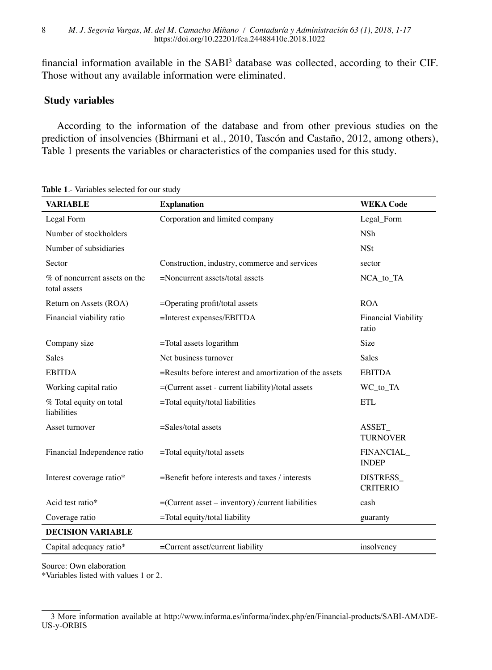financial information available in the  $SABI<sup>3</sup>$  database was collected, according to their CIF. Those without any available information were eliminated.

## **Study variables**

According to the information of the database and from other previous studies on the prediction of insolvencies (Bhirmani et al., 2010, Tascón and Castaño, 2012, among others), Table 1 presents the variables or characteristics of the companies used for this study.

| <b>VARIABLE</b>                               | <b>Explanation</b>                                         | <b>WEKA Code</b>                    |
|-----------------------------------------------|------------------------------------------------------------|-------------------------------------|
| Legal Form                                    | Corporation and limited company                            | Legal_Form                          |
| Number of stockholders                        |                                                            | <b>NSh</b>                          |
| Number of subsidiaries                        |                                                            | <b>NSt</b>                          |
| Sector                                        | Construction, industry, commerce and services              | sector                              |
| % of noncurrent assets on the<br>total assets | =Noncurrent assets/total assets                            | NCA_to_TA                           |
| Return on Assets (ROA)                        | $=$ Operating profit/total assets                          | <b>ROA</b>                          |
| Financial viability ratio                     | $=$ Interest expenses/EBITDA                               | <b>Financial Viability</b><br>ratio |
| Company size                                  | $=$ Total assets logarithm                                 | Size                                |
| <b>Sales</b>                                  | Net business turnover                                      | <b>Sales</b>                        |
| <b>EBITDA</b>                                 | $=$ Results before interest and amortization of the assets | <b>EBITDA</b>                       |
| Working capital ratio                         | $=(Current asset - current liability)/total assets$        | WC_to_TA                            |
| % Total equity on total<br>liabilities        | $=$ Total equity/total liabilities                         | ETL                                 |
| Asset turnover                                | $=$ Sales/total assets                                     | ASSET<br><b>TURNOVER</b>            |
| Financial Independence ratio                  | $=$ Total equity/total assets                              | FINANCIAL<br><b>INDEP</b>           |
| Interest coverage ratio*                      | $=$ Benefit before interests and taxes / interests         | <b>DISTRESS</b><br><b>CRITERIO</b>  |
| Acid test ratio*                              | $=(Current asset - inventory) / current liabilities$       | cash                                |
| Coverage ratio                                | =Total equity/total liability                              | guaranty                            |
| <b>DECISION VARIABLE</b>                      |                                                            |                                     |
| Capital adequacy ratio*                       | $=$ Current asset/current liability                        | insolvency                          |

**Table 1**.- Variables selected for our study

Source: Own elaboration

\*Variables listed with values 1 or 2.

<sup>3</sup> More information available at [http://www.informa.es/informa/index.php/en/Financial-products/SABI-AMADE-](http://www.informa.es/informa/index.php/en/Financial-products/SABI-AMADEUS-y-ORBIS)[US-y-ORBIS](http://www.informa.es/informa/index.php/en/Financial-products/SABI-AMADEUS-y-ORBIS)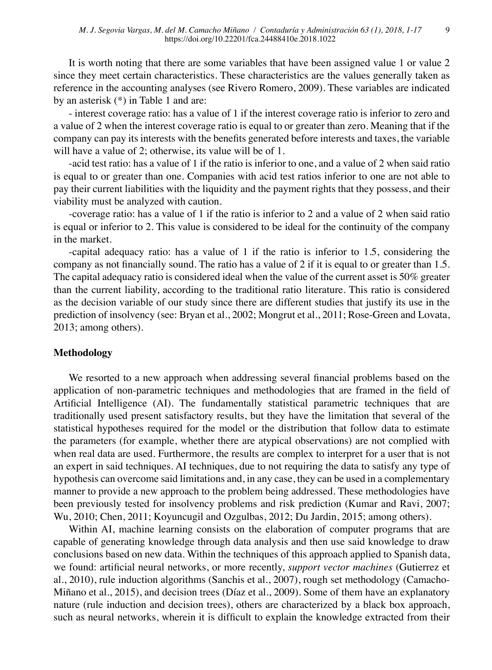9

It is worth noting that there are some variables that have been assigned value 1 or value 2 since they meet certain characteristics. These characteristics are the values generally taken as reference in the accounting analyses (see Rivero Romero, 2009). These variables are indicated by an asterisk (\*) in Table 1 and are:

- interest coverage ratio: has a value of 1 if the interest coverage ratio is inferior to zero and a value of 2 when the interest coverage ratio is equal to or greater than zero. Meaning that if the company can pay its interests with the benefits generated before interests and taxes, the variable will have a value of 2; otherwise, its value will be of 1.

-acid test ratio: has a value of 1 if the ratio is inferior to one, and a value of 2 when said ratio is equal to or greater than one. Companies with acid test ratios inferior to one are not able to pay their current liabilities with the liquidity and the payment rights that they possess, and their viability must be analyzed with caution.

-coverage ratio: has a value of 1 if the ratio is inferior to 2 and a value of 2 when said ratio is equal or inferior to 2. This value is considered to be ideal for the continuity of the company in the market.

-capital adequacy ratio: has a value of 1 if the ratio is inferior to 1.5, considering the company as not financially sound. The ratio has a value of 2 if it is equal to or greater than 1.5. The capital adequacy ratio is considered ideal when the value of the current asset is 50% greater than the current liability, according to the traditional ratio literature. This ratio is considered as the decision variable of our study since there are different studies that justify its use in the prediction of insolvency (see: Bryan et al., 2002; Mongrut et al., 2011; Rose-Green and Lovata, 2013; among others).

### **Methodology**

We resorted to a new approach when addressing several financial problems based on the application of non-parametric techniques and methodologies that are framed in the field of Artificial Intelligence (AI). The fundamentally statistical parametric techniques that are traditionally used present satisfactory results, but they have the limitation that several of the statistical hypotheses required for the model or the distribution that follow data to estimate the parameters (for example, whether there are atypical observations) are not complied with when real data are used. Furthermore, the results are complex to interpret for a user that is not an expert in said techniques. AI techniques, due to not requiring the data to satisfy any type of hypothesis can overcome said limitations and, in any case, they can be used in a complementary manner to provide a new approach to the problem being addressed. These methodologies have been previously tested for insolvency problems and risk prediction (Kumar and Ravi, 2007; Wu, 2010; Chen, 2011; Koyuncugil and Ozgulbas, 2012; Du Jardin, 2015; among others).

Within AI, machine learning consists on the elaboration of computer programs that are capable of generating knowledge through data analysis and then use said knowledge to draw conclusions based on new data. Within the techniques of this approach applied to Spanish data, we found: artificial neural networks, or more recently, *support vector machines* (Gutierrez et al., 2010), rule induction algorithms (Sanchis et al., 2007), rough set methodology (Camacho-Miñano et al., 2015), and decision trees (Díaz et al., 2009). Some of them have an explanatory nature (rule induction and decision trees), others are characterized by a black box approach, such as neural networks, wherein it is difficult to explain the knowledge extracted from their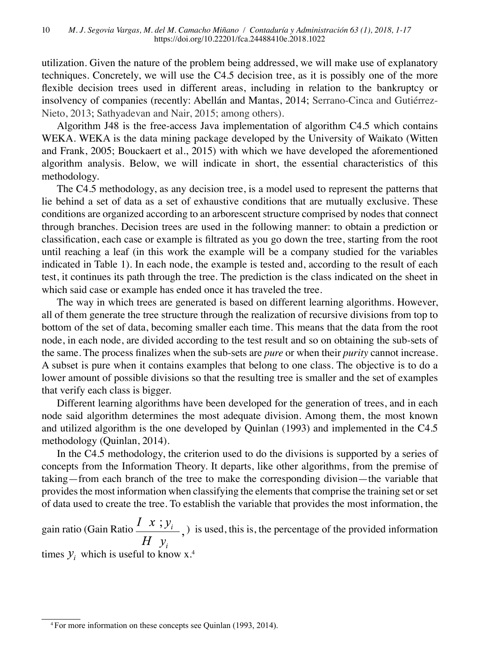utilization. Given the nature of the problem being addressed, we will make use of explanatory techniques. Concretely, we will use the C4.5 decision tree, as it is possibly one of the more flexible decision trees used in different areas, including in relation to the bankruptcy or insolvency of companies (recently: Abellán and Mantas, 2014; Serrano-Cinca and Gutiérrez-Nieto, 2013; Sathyadevan and Nair, 2015; among others).

Algorithm J48 is the free-access Java implementation of algorithm C4.5 which contains WEKA. WEKA is the data mining package developed by the University of Waikato (Witten and Frank, 2005; Bouckaert et al., 2015) with which we have developed the aforementioned algorithm analysis. Below, we will indicate in short, the essential characteristics of this methodology.

The C4.5 methodology, as any decision tree, is a model used to represent the patterns that lie behind a set of data as a set of exhaustive conditions that are mutually exclusive. These conditions are organized according to an arborescent structure comprised by nodes that connect through branches. Decision trees are used in the following manner: to obtain a prediction or classification, each case or example is filtrated as you go down the tree, starting from the root until reaching a leaf (in this work the example will be a company studied for the variables indicated in Table 1). In each node, the example is tested and, according to the result of each test, it continues its path through the tree. The prediction is the class indicated on the sheet in which said case or example has ended once it has traveled the tree.

The way in which trees are generated is based on different learning algorithms. However, all of them generate the tree structure through the realization of recursive divisions from top to bottom of the set of data, becoming smaller each time. This means that the data from the root node, in each node, are divided according to the test result and so on obtaining the sub-sets of the same. The process finalizes when the sub-sets are *pure* or when their *purity* cannot increase. A subset is pure when it contains examples that belong to one class. The objective is to do a lower amount of possible divisions so that the resulting tree is smaller and the set of examples that verify each class is bigger.

Different learning algorithms have been developed for the generation of trees, and in each node said algorithm determines the most adequate division. Among them, the most known and utilized algorithm is the one developed by Quinlan (1993) and implemented in the C4.5 methodology (Quinlan, 2014).

In the C4.5 methodology, the criterion used to do the divisions is supported by a series of concepts from the Information Theory. It departs, like other algorithms, from the premise of taking—from each branch of the tree to make the corresponding division—the variable that provides the most information when classifying the elements that comprise the training set or set of data used to create the tree. To establish the variable that provides the most information, the

gain ratio (Gain Ratio  $\frac{I(x; y_i)}{H(y_i)}$ , ) is used, this is, the percentage of the provided information times  $y_i$  which is useful to know x.<sup>4</sup>

<sup>4</sup> For more information on these concepts see Quinlan (1993, 2014).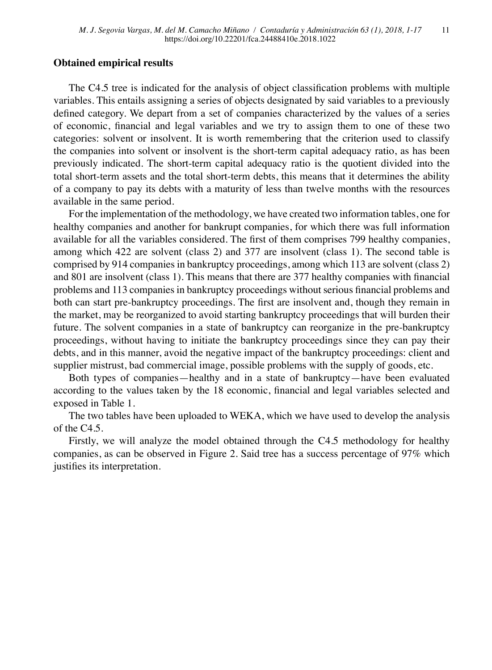### **Obtained empirical results**

The C4.5 tree is indicated for the analysis of object classification problems with multiple variables. This entails assigning a series of objects designated by said variables to a previously defined category. We depart from a set of companies characterized by the values of a series of economic, financial and legal variables and we try to assign them to one of these two categories: solvent or insolvent. It is worth remembering that the criterion used to classify the companies into solvent or insolvent is the short-term capital adequacy ratio, as has been previously indicated. The short-term capital adequacy ratio is the quotient divided into the total short-term assets and the total short-term debts, this means that it determines the ability of a company to pay its debts with a maturity of less than twelve months with the resources available in the same period.

For the implementation of the methodology, we have created two information tables, one for healthy companies and another for bankrupt companies, for which there was full information available for all the variables considered. The first of them comprises 799 healthy companies, among which 422 are solvent (class 2) and 377 are insolvent (class 1). The second table is comprised by 914 companies in bankruptcy proceedings, among which 113 are solvent (class 2) and 801 are insolvent (class 1). This means that there are 377 healthy companies with financial problems and 113 companies in bankruptcy proceedings without serious financial problems and both can start pre-bankruptcy proceedings. The first are insolvent and, though they remain in the market, may be reorganized to avoid starting bankruptcy proceedings that will burden their future. The solvent companies in a state of bankruptcy can reorganize in the pre-bankruptcy proceedings, without having to initiate the bankruptcy proceedings since they can pay their debts, and in this manner, avoid the negative impact of the bankruptcy proceedings: client and supplier mistrust, bad commercial image, possible problems with the supply of goods, etc.

Both types of companies—healthy and in a state of bankruptcy—have been evaluated according to the values taken by the 18 economic, financial and legal variables selected and exposed in Table 1.

The two tables have been uploaded to WEKA, which we have used to develop the analysis of the C4.5.

Firstly, we will analyze the model obtained through the C4.5 methodology for healthy companies, as can be observed in Figure 2. Said tree has a success percentage of 97% which justifies its interpretation.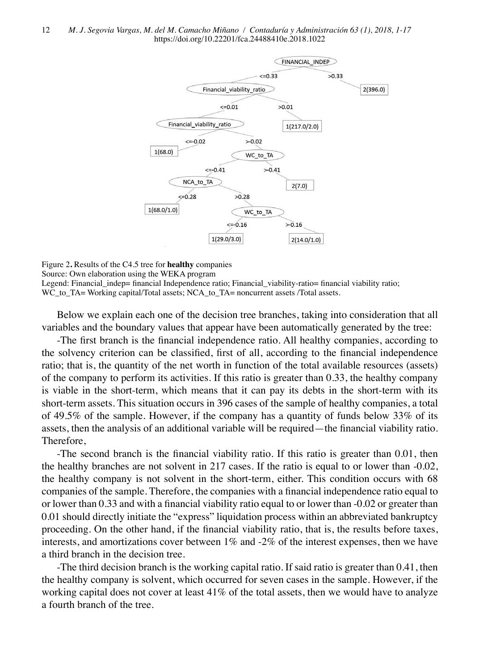

Figure 2**.** Results of the C4.5 tree for **healthy** companies Source: Own elaboration using the WEKA program Legend: Financial indep= financial Independence ratio; Financial viability-ratio= financial viability ratio; WC\_to\_TA= Working capital/Total assets; NCA\_to\_TA= noncurrent assets /Total assets.

Below we explain each one of the decision tree branches, taking into consideration that all variables and the boundary values that appear have been automatically generated by the tree:

-The first branch is the financial independence ratio. All healthy companies, according to the solvency criterion can be classified, first of all, according to the financial independence ratio; that is, the quantity of the net worth in function of the total available resources (assets) of the company to perform its activities. If this ratio is greater than 0.33, the healthy company is viable in the short-term, which means that it can pay its debts in the short-term with its short-term assets. This situation occurs in 396 cases of the sample of healthy companies, a total of 49.5% of the sample. However, if the company has a quantity of funds below 33% of its assets, then the analysis of an additional variable will be required—the financial viability ratio. Therefore,

-The second branch is the financial viability ratio. If this ratio is greater than 0.01, then the healthy branches are not solvent in 217 cases. If the ratio is equal to or lower than -0.02, the healthy company is not solvent in the short-term, either. This condition occurs with 68 companies of the sample. Therefore, the companies with a financial independence ratio equal to or lower than 0.33 and with a financial viability ratio equal to or lower than -0.02 or greater than 0.01 should directly initiate the "express" liquidation process within an abbreviated bankruptcy proceeding. On the other hand, if the financial viability ratio, that is, the results before taxes, interests, and amortizations cover between  $1\%$  and  $-2\%$  of the interest expenses, then we have a third branch in the decision tree.

-The third decision branch is the working capital ratio. If said ratio is greater than 0.41, then the healthy company is solvent, which occurred for seven cases in the sample. However, if the working capital does not cover at least 41% of the total assets, then we would have to analyze a fourth branch of the tree.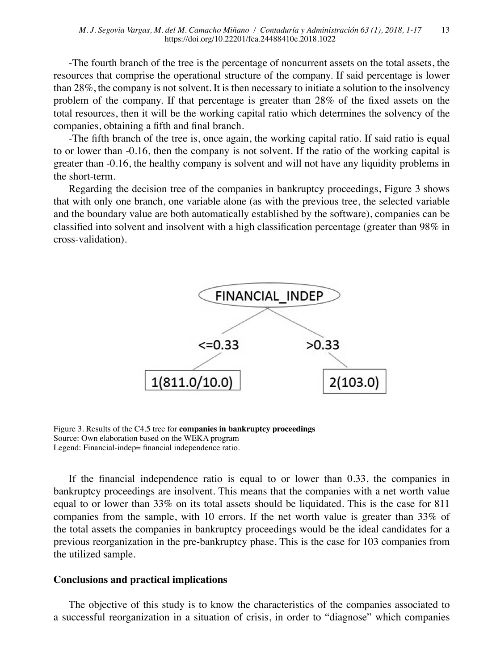-The fourth branch of the tree is the percentage of noncurrent assets on the total assets, the resources that comprise the operational structure of the company. If said percentage is lower than 28%, the company is not solvent. It is then necessary to initiate a solution to the insolvency problem of the company. If that percentage is greater than 28% of the fixed assets on the total resources, then it will be the working capital ratio which determines the solvency of the companies, obtaining a fifth and final branch.

-The fifth branch of the tree is, once again, the working capital ratio. If said ratio is equal to or lower than -0.16, then the company is not solvent. If the ratio of the working capital is greater than -0.16, the healthy company is solvent and will not have any liquidity problems in the short-term.

Regarding the decision tree of the companies in bankruptcy proceedings, Figure 3 shows that with only one branch, one variable alone (as with the previous tree, the selected variable and the boundary value are both automatically established by the software), companies can be classified into solvent and insolvent with a high classification percentage (greater than 98% in cross-validation).



Figure 3. Results of the C4.5 tree for **companies in bankruptcy proceedings** Source: Own elaboration based on the WEKA program Legend: Financial-indep= financial independence ratio.

If the financial independence ratio is equal to or lower than 0.33, the companies in bankruptcy proceedings are insolvent. This means that the companies with a net worth value equal to or lower than 33% on its total assets should be liquidated. This is the case for 811 companies from the sample, with 10 errors. If the net worth value is greater than 33% of the total assets the companies in bankruptcy proceedings would be the ideal candidates for a previous reorganization in the pre-bankruptcy phase. This is the case for 103 companies from the utilized sample.

### **Conclusions and practical implications**

The objective of this study is to know the characteristics of the companies associated to a successful reorganization in a situation of crisis, in order to "diagnose" which companies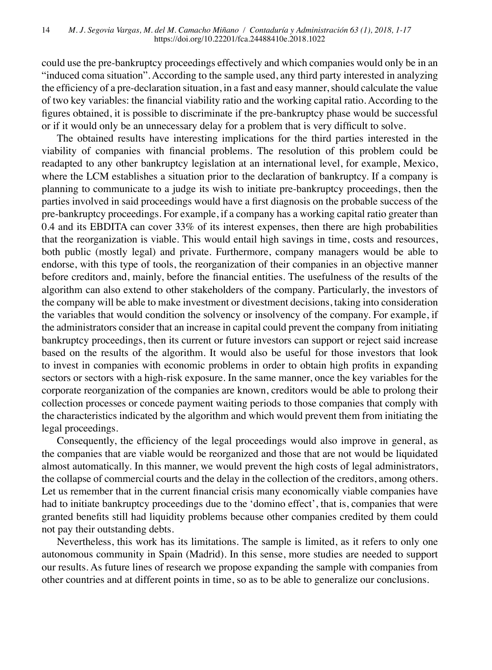could use the pre-bankruptcy proceedings effectively and which companies would only be in an "induced coma situation". According to the sample used, any third party interested in analyzing the efficiency of a pre-declaration situation, in a fast and easy manner, should calculate the value of two key variables: the financial viability ratio and the working capital ratio. According to the figures obtained, it is possible to discriminate if the pre-bankruptcy phase would be successful or if it would only be an unnecessary delay for a problem that is very difficult to solve.

The obtained results have interesting implications for the third parties interested in the viability of companies with financial problems. The resolution of this problem could be readapted to any other bankruptcy legislation at an international level, for example, Mexico, where the LCM establishes a situation prior to the declaration of bankruptcy. If a company is planning to communicate to a judge its wish to initiate pre-bankruptcy proceedings, then the parties involved in said proceedings would have a first diagnosis on the probable success of the pre-bankruptcy proceedings. For example, if a company has a working capital ratio greater than 0.4 and its EBDITA can cover 33% of its interest expenses, then there are high probabilities that the reorganization is viable. This would entail high savings in time, costs and resources, both public (mostly legal) and private. Furthermore, company managers would be able to endorse, with this type of tools, the reorganization of their companies in an objective manner before creditors and, mainly, before the financial entities. The usefulness of the results of the algorithm can also extend to other stakeholders of the company. Particularly, the investors of the company will be able to make investment or divestment decisions, taking into consideration the variables that would condition the solvency or insolvency of the company. For example, if the administrators consider that an increase in capital could prevent the company from initiating bankruptcy proceedings, then its current or future investors can support or reject said increase based on the results of the algorithm. It would also be useful for those investors that look to invest in companies with economic problems in order to obtain high profits in expanding sectors or sectors with a high-risk exposure. In the same manner, once the key variables for the corporate reorganization of the companies are known, creditors would be able to prolong their collection processes or concede payment waiting periods to those companies that comply with the characteristics indicated by the algorithm and which would prevent them from initiating the legal proceedings.

Consequently, the efficiency of the legal proceedings would also improve in general, as the companies that are viable would be reorganized and those that are not would be liquidated almost automatically. In this manner, we would prevent the high costs of legal administrators, the collapse of commercial courts and the delay in the collection of the creditors, among others. Let us remember that in the current financial crisis many economically viable companies have had to initiate bankruptcy proceedings due to the 'domino effect', that is, companies that were granted benefits still had liquidity problems because other companies credited by them could not pay their outstanding debts.

Nevertheless, this work has its limitations. The sample is limited, as it refers to only one autonomous community in Spain (Madrid). In this sense, more studies are needed to support our results. As future lines of research we propose expanding the sample with companies from other countries and at different points in time, so as to be able to generalize our conclusions.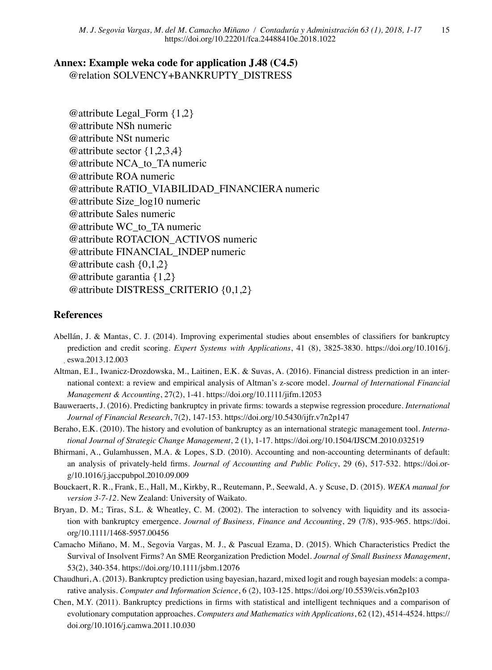## **Annex: Example weka code for application J.48 (C4.5)**

@relation SOLVENCY+BANKRUPTY\_DISTRESS

@attribute Legal\_Form {1,2} @attribute NSh numeric @attribute NSt numeric @attribute sector {1,2,3,4} @attribute NCA\_to\_TA numeric @attribute ROA numeric @attribute RATIO\_VIABILIDAD\_FINANCIERA numeric @attribute Size\_log10 numeric @attribute Sales numeric @attribute WC\_to\_TA numeric @attribute ROTACION\_ACTIVOS numeric @attribute FINANCIAL\_INDEP numeric @attribute cash  $\{0,1,2\}$ @attribute garantia {1,2} @attribute DISTRESS\_CRITERIO {0,1,2}

## **References**

- Abellán, J. & Mantas, C. J. (2014). Improving experimental studies about ensembles of classifiers for bankruptcy prediction and credit scoring. *Expert Systems with Applications*, 41 (8), 3825-3830. https://doi.org/10.1016/j. eswa.2013.12.003
- Altman, E.I., Iwanicz-Drozdowska, M., Laitinen, E.K. & Suvas, A. (2016). Financial distress prediction in an international context: a review and empirical analysis of Altman's z-score model. *Journal of International Financial Management & Accounting*, 27(2), 1-41. https://doi.org/10.1111/jifm.12053
- Bauweraerts, J. (2016). Predicting bankruptcy in private firms: towards a stepwise regression procedure. *International Journal of Financial Research*, 7(2), 147-153. https://doi.org/10.5430/ijfr.v7n2p147
- Beraho, E.K. (2010). The history and evolution of bankruptcy as an international strategic management tool. *International Journal of Strategic Change Management*, 2 (1), 1-17. https://doi.org/10.1504/IJSCM.2010.032519
- Bhirmani, A., Gulamhussen, M.A. & Lopes, S.D. (2010). Accounting and non-accounting determinants of default: an analysis of privately-held firms. *Journal of Accounting and Public Policy*, 29 (6), 517-532. https://doi.org/10.1016/j.jaccpubpol.2010.09.009
- Bouckaert, R. R., Frank, E., Hall, M., Kirkby, R., Reutemann, P., Seewald, A. y Scuse, D. (2015). *WEKA manual for version 3-7-12*. New Zealand: University of Waikato.
- Bryan, D. M.; Tiras, S.L. & Wheatley, C. M. (2002). The interaction to solvency with liquidity and its association with bankruptcy emergence. *Journal of Business, Finance and Accounting*, 29 (7/8), 935-965. https://doi. org/10.1111/1468-5957.00456
- Camacho Miñano, M. M., Segovia Vargas, M. J., & Pascual Ezama, D. (2015). Which Characteristics Predict the Survival of Insolvent Firms? An SME Reorganization Prediction Model. *Journal of Small Business Management*, 53(2), 340-354. https://doi.org/10.1111/jsbm.12076
- Chaudhuri, A. (2013). Bankruptcy prediction using bayesian, hazard, mixed logit and rough bayesian models: a comparative analysis. *Computer and Information Science*, 6 (2), 103-125. https://doi.org/10.5539/cis.v6n2p103
- Chen, M.Y. (2011). Bankruptcy predictions in firms with statistical and intelligent techniques and a comparison of evolutionary computation approaches. *Computers and Mathematics with Applications*, 62 (12), 4514-4524. https:// doi.org/10.1016/j.camwa.2011.10.030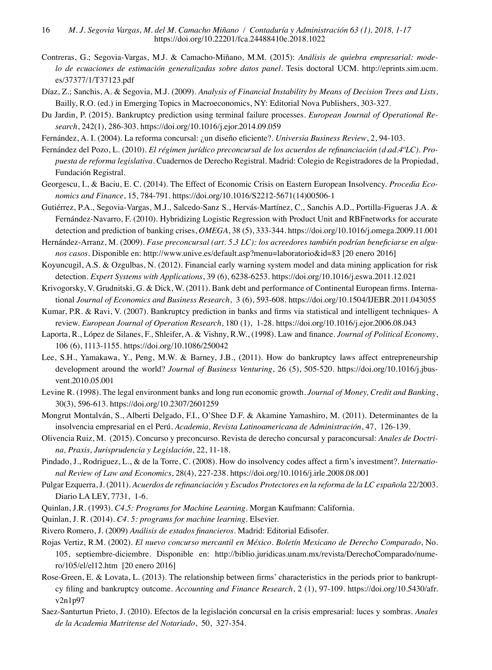- Contreras, G.; Segovia-Vargas, M.J. & Camacho-Miñano, M.M. (2015): *Análisis de quiebra empresarial: modelo de ecuaciones de estimación generalizadas sobre datos panel*. Tesis doctoral UCM. http://eprints.sim.ucm. es/37377/1/T37123.pdf
- Díaz, Z.; Sanchis, A. & Segovia, M.J. (2009). *Analysis of Financial Instability by Means of Decision Trees and Lists*, Bailly, R.O. (ed.) in Emerging Topics in Macroeconomics, NY: Editorial Nova Publishers, 303-327.
- Du Jardin, P. (2015). Bankruptcy prediction using terminal failure processes. *European Journal of Operational Research*, 242(1), 286-303. https://doi.org/10.1016/j.ejor.2014.09.059
- Fernández, A. I. (2004). La reforma concursal: ¿un diseño eficiente?. *Universia Business Review*, 2, 94-103.
- Fernández del Pozo, L. (2010). *El régimen jurídico preconcursal de los acuerdos de refinanciación (d.ad.4ºLC). Propuesta de reforma legislativa*. Cuadernos de Derecho Registral. Madrid: Colegio de Registradores de la Propiedad, Fundación Registral.
- Georgescu, I., & Baciu, E. C. (2014). The Effect of Economic Crisis on Eastern European Insolvency. *Procedia Economics and Finance*, 15, 784-791. https://doi.org/10.1016/S2212-5671(14)00506-1
- Gutiérrez, P.A., Segovia-Vargas, M.J., Salcedo-Sanz S., Hervás-Martínez, C., Sanchis A.D., Portilla-Figueras J.A. & Fernández-Navarro, F. (2010). Hybridizing Logistic Regression with Product Unit and RBFnetworks for accurate detection and prediction of banking crises, *OMEGA*, 38 (5), 333-344. https://doi.org/10.1016/j.omega.2009.11.001
- Hernández-Arranz, M. (2009). *Fase preconcursal (art. 5.3 LC): los acreedores también podrían beneficiarse en algunos casos*. Disponible en: http://www.unive.es/default.asp?menu=laboratorio&id=83 [20 enero 2016]
- Koyuncugil, A.S. & Ozgulbas, N. (2012). Financial early warning system model and data mining application for risk detection. *Expert Systems with Applications*, 39 (6), 6238-6253. https://doi.org/10.1016/j.eswa.2011.12.021
- Krivogorsky, V. Grudnitski, G. & Dick, W. (2011). Bank debt and performance of Continental European firms. International *Journal of Economics and Business Research*, 3 (6), 593-608. https://doi.org/10.1504/IJEBR.2011.043055
- Kumar, P.R. & Ravi, V. (2007). Bankruptcy prediction in banks and firms via statistical and intelligent techniques- A review. *European Journal of Operation Research*, 180 (1), 1-28. https://doi.org/10.1016/j.ejor.2006.08.043
- Laporta, R., López de Silanes, F., Shleifer, A. & Vishny, R.W., (1998). Law and finance. *Journal of Political Economy*, 106 (6), 1113-1155. https://doi.org/10.1086/250042
- Lee, S.H., Yamakawa, Y., Peng, M.W. & Barney, J.B., (2011). How do bankruptcy laws affect entrepreneurship development around the world? *Journal of Business Venturing*, 26 (5), 505-520. https://doi.org/10.1016/j.jbusvent.2010.05.001
- Levine R. (1998). The legal environment banks and long run economic growth. *Journal of Money, Credit and Banking*, 30(3), 596-613. https://doi.org/10.2307/2601259
- Mongrut Montalván, S., Alberti Delgado, F.I., O'Shee D.F. & Akamine Yamashiro, M. (2011). Determinantes de la insolvencia empresarial en el Perú. *Academia, Revista Latinoamericana de Administración*, 47, 126-139.
- Olivencia Ruiz, M. (2015). Concurso y preconcurso. Revista de derecho concursal y paraconcursal: *Anales de Doctrina, Praxis, Jurisprudencia y Legislación*, 22, 11-18.
- Pindado, J., Rodriguez, L., & de la Torre, C. (2008). How do insolvency codes affect a firm's investment?. *International Review of Law and Economics*, 28(4), 227-238. https://doi.org/10.1016/j.irle.2008.08.001
- Pulgar Ezquerra, J. (2011). *Acuerdos de refinanciación y Escudos Protectores en la reforma de la LC española* 22/2003. Diario LA LEY, 7731, 1-6.
- Quinlan, J.R. (1993). *C4.5: Programs for Machine Learning*. Morgan Kaufmann: California.
- Quinlan, J. R. (2014). *C4. 5: programs for machine learning*. Elsevier.
- Rivero Romero, J. (2009) *Análisis de estados financieros*. Madrid: Editorial Edisofer.
- Rojas Vertiz, R.M. (2002). *El nuevo concurso mercantil en México. Boletín Mexicano de Derecho Comparado*, No. 105, septiembre-diciembre. Disponible en: http://biblio.juridicas.unam.mx/revista/DerechoComparado/numero/105/el/el12.htm [20 enero 2016]
- Rose-Green, E. & Lovata, L. (2013). The relationship between firms' characteristics in the periods prior to bankruptcy filing and bankruptcy outcome. *Accounting and Finance Research*, 2 (1), 97-109. https://doi.org/10.5430/afr. v2n1p97
- Saez-Santurtun Prieto, J. (2010). Efectos de la legislación concursal en la crisis empresarial: luces y sombras. *Anales de la Academia Matritense del Notariado*, 50, 327-354.